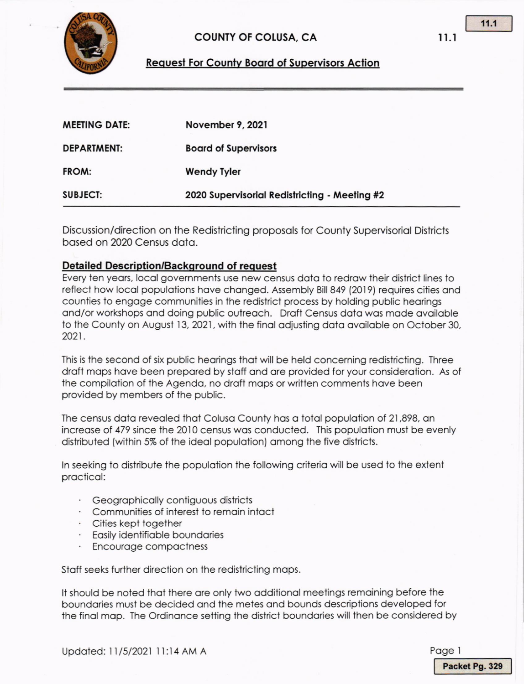

## **COUNTY OF COLUSA, CA**

## **Request For County Board of Supervisors Action**

| <b>MEETING DATE:</b> | November 9, 2021                              |
|----------------------|-----------------------------------------------|
| <b>DEPARTMENT:</b>   | <b>Board of Supervisors</b>                   |
| FROM:                | <b>Wendy Tyler</b>                            |
| <b>SUBJECT:</b>      | 2020 Supervisorial Redistricting - Meeting #2 |

Discussion/direction on the Redistricting proposals for County Supervisorial Districts based on 2020 Census data

### **Detailed Description/Background of request**

Every ten years, local governments use new census data to redraw their district lines to reflect how local populations have changed. Assembly Bill 849 (2019) requires cities and counties to engage communities in the redistrict process by holding public hearings and/or workshops and doing public outreach. Draft Census data was made available to the County on August 13, 2021, with the final adjusting data available on October 30, 2021.

This is the second of six public hearings that will be held concerning redistricting. Three draft maps have been prepared by staff and are provided for your consideration. As of the compilation of the Agenda, no draft maps or written comments have been provided by members of the public.

The census data revealed that Colusa County has a total population of 21,898, an increase of 479 since the 2010 census was conducted. This population must be evenly distributed (within 5% of the ideal population) among the five districts.

In seeking to distribute the population the following criteria will be used to the extent practical:

- · Geographically contiguous districts
- Communities of interest to remain intact
- · Cities kept together
- · Easily identifiable boundaries
- · Encourage compactness

Staff seeks further direction on the redistricting maps.

It should be noted that there are only two additional meetings remaining before the boundaries must be decided and the metes and bounds descriptions developed for the final map. The Ordinance setting the district boundaries will then be considered by

Page 1

Packet Pg. 329

 $11.1$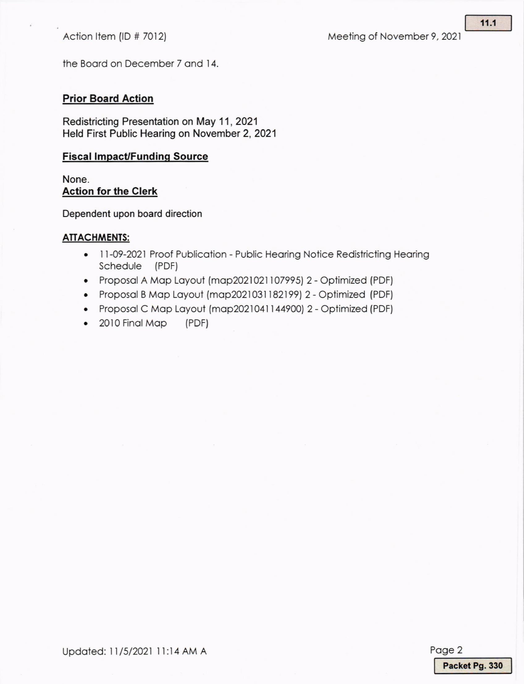the Boord on December 7 ond 14.

#### Prior Board Action

Redistricting Presentation on May 11,2021 Held First Public Hearing on November 2, 2021

#### **Fiscal Impact/Funding Source**

#### None. Action for the Clerk

Dependent upon board direction

#### ATIACHMENTS:

- 11-09-2021 Proof Publication Public Hearing Notice Redistricting Hearing Schedule (PDF)
- Proposal A Map Layout (map2021021107995) 2 Optimized (PDF)
- Proposal B Map Layout (map2021031182199) 2 Optimized (PDF)
- . Proposol C Mop Loyout (mop202l04l 144900) 2 Optimized (PDF)
- 2010 Final Map (PDF)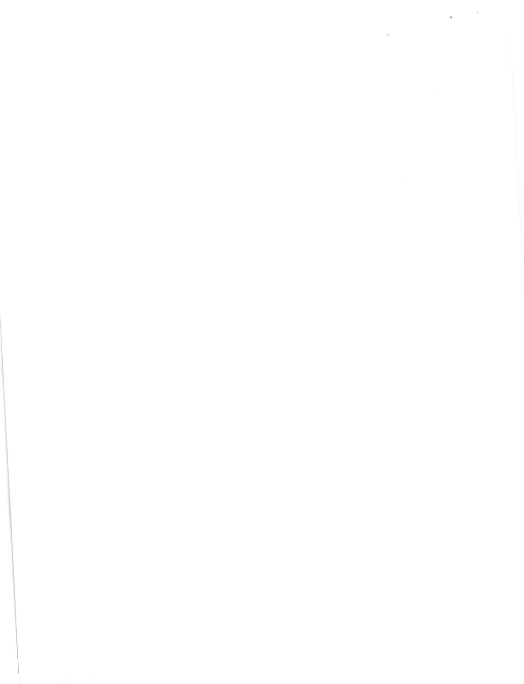